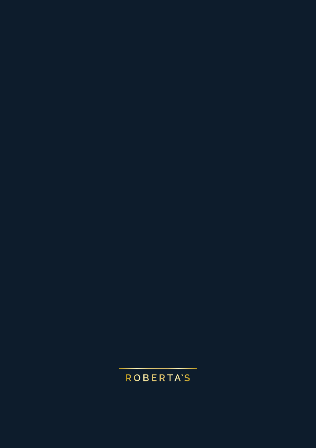## **ROBERTA'S**